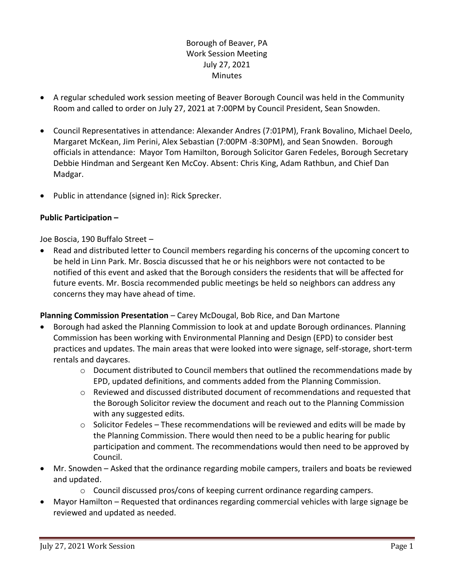Borough of Beaver, PA Work Session Meeting July 27, 2021 Minutes

- A regular scheduled work session meeting of Beaver Borough Council was held in the Community Room and called to order on July 27, 2021 at 7:00PM by Council President, Sean Snowden.
- Council Representatives in attendance: Alexander Andres (7:01PM), Frank Bovalino, Michael Deelo, Margaret McKean, Jim Perini, Alex Sebastian (7:00PM -8:30PM), and Sean Snowden. Borough officials in attendance: Mayor Tom Hamilton, Borough Solicitor Garen Fedeles, Borough Secretary Debbie Hindman and Sergeant Ken McCoy. Absent: Chris King, Adam Rathbun, and Chief Dan Madgar.
- Public in attendance (signed in): Rick Sprecker.

## **Public Participation –**

Joe Boscia, 190 Buffalo Street –

 Read and distributed letter to Council members regarding his concerns of the upcoming concert to be held in Linn Park. Mr. Boscia discussed that he or his neighbors were not contacted to be notified of this event and asked that the Borough considers the residents that will be affected for future events. Mr. Boscia recommended public meetings be held so neighbors can address any concerns they may have ahead of time.

## **Planning Commission Presentation** – Carey McDougal, Bob Rice, and Dan Martone

- Borough had asked the Planning Commission to look at and update Borough ordinances. Planning Commission has been working with Environmental Planning and Design (EPD) to consider best practices and updates. The main areas that were looked into were signage, self-storage, short-term rentals and daycares.
	- o Document distributed to Council members that outlined the recommendations made by EPD, updated definitions, and comments added from the Planning Commission.
	- $\circ$  Reviewed and discussed distributed document of recommendations and requested that the Borough Solicitor review the document and reach out to the Planning Commission with any suggested edits.
	- $\circ$  Solicitor Fedeles These recommendations will be reviewed and edits will be made by the Planning Commission. There would then need to be a public hearing for public participation and comment. The recommendations would then need to be approved by Council.
- Mr. Snowden Asked that the ordinance regarding mobile campers, trailers and boats be reviewed and updated.
	- $\circ$  Council discussed pros/cons of keeping current ordinance regarding campers.
- Mayor Hamilton Requested that ordinances regarding commercial vehicles with large signage be reviewed and updated as needed.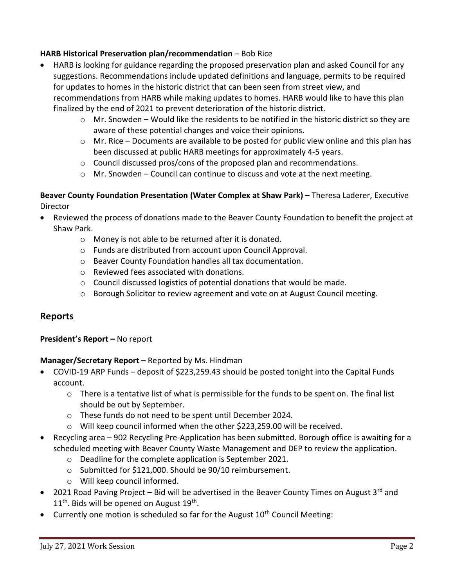## **HARB Historical Preservation plan/recommendation** – Bob Rice

- HARB is looking for guidance regarding the proposed preservation plan and asked Council for any suggestions. Recommendations include updated definitions and language, permits to be required for updates to homes in the historic district that can been seen from street view, and recommendations from HARB while making updates to homes. HARB would like to have this plan finalized by the end of 2021 to prevent deterioration of the historic district.
	- $\circ$  Mr. Snowden Would like the residents to be notified in the historic district so they are aware of these potential changes and voice their opinions.
	- $\circ$  Mr. Rice Documents are available to be posted for public view online and this plan has been discussed at public HARB meetings for approximately 4-5 years.
	- o Council discussed pros/cons of the proposed plan and recommendations.
	- $\circ$  Mr. Snowden Council can continue to discuss and vote at the next meeting.

## **Beaver County Foundation Presentation (Water Complex at Shaw Park)** – Theresa Laderer, Executive **Director**

- Reviewed the process of donations made to the Beaver County Foundation to benefit the project at Shaw Park.
	- o Money is not able to be returned after it is donated.
	- o Funds are distributed from account upon Council Approval.
	- o Beaver County Foundation handles all tax documentation.
	- o Reviewed fees associated with donations.
	- o Council discussed logistics of potential donations that would be made.
	- o Borough Solicitor to review agreement and vote on at August Council meeting.

# **Reports**

## **President's Report –** No report

## **Manager/Secretary Report –** Reported by Ms. Hindman

- COVID-19 ARP Funds deposit of \$223,259.43 should be posted tonight into the Capital Funds account.
	- $\circ$  There is a tentative list of what is permissible for the funds to be spent on. The final list should be out by September.
	- o These funds do not need to be spent until December 2024.
	- $\circ$  Will keep council informed when the other \$223,259.00 will be received.
- Recycling area 902 Recycling Pre-Application has been submitted. Borough office is awaiting for a scheduled meeting with Beaver County Waste Management and DEP to review the application.
	- o Deadline for the complete application is September 2021.
	- o Submitted for \$121,000. Should be 90/10 reimbursement.
	- o Will keep council informed.
- 2021 Road Paving Project Bid will be advertised in the Beaver County Times on August 3<sup>rd</sup> and  $11<sup>th</sup>$ . Bids will be opened on August  $19<sup>th</sup>$ .
- Currently one motion is scheduled so far for the August  $10<sup>th</sup>$  Council Meeting: